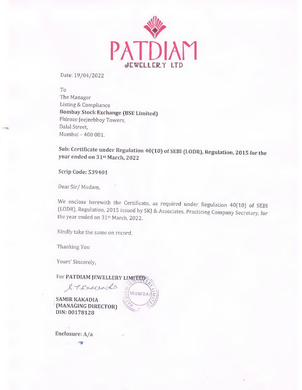

Date: 19/04/2022

To The Manager Listing & Compliance Bombay Stock Exchange (BSE Limited) Phiroze Jeejeebhoy Towers, Dalai Street, Mumbai - 400 001.

Sub: Certificate under Regulation 40(10) of SEBI (LODR), Regulation, 2015 for the year ended on 31st March, 2022

Scrip Code; 539401

La Stalla

Dear Sir/ Madam,

We enclose herewith the Certificate, as required under Regulation 40(10) of SEBI (LODR), Regulation, 2015 issued by SKJ & Associates, Practicing Company Secretary, for the year ended on 31st March, 2022.

**MUMBAI** 

Kindly take the same on record.

Thanking You

Yours' Sincerely,

For PATDIAM JEWELLERY LIMITED

SAMIR KAKADIA (MANAGING DIRECTOR) DIN:00178128

S.T. Raccedia

Enclosure: A/a